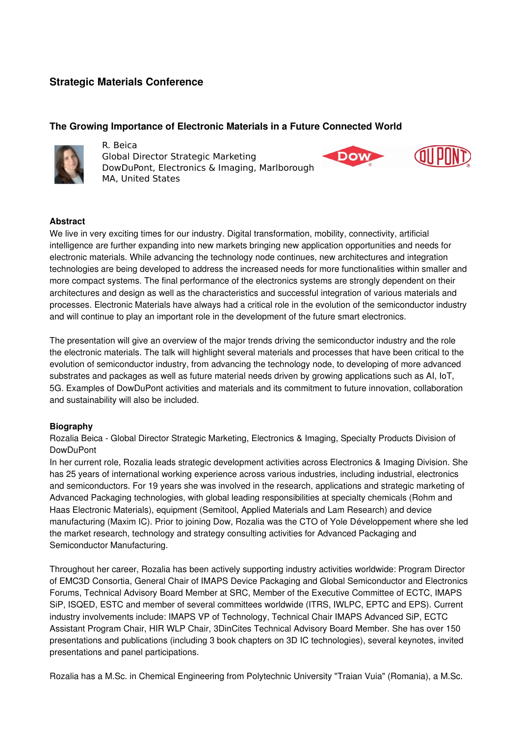# **Strategic Materials Conference**

## **The Growing Importance of Electronic Materials in a Future Connected World**



R. Beica Global Director Strategic Marketing DowDuPont, Electronics & Imaging, Marlborough MA, United States



### **Abstract**

We live in very exciting times for our industry. Digital transformation, mobility, connectivity, artificial intelligence are further expanding into new markets bringing new application opportunities and needs for electronic materials. While advancing the technology node continues, new architectures and integration technologies are being developed to address the increased needs for more functionalities within smaller and more compact systems. The final performance of the electronics systems are strongly dependent on their architectures and design as well as the characteristics and successful integration of various materials and processes. Electronic Materials have always had a critical role in the evolution of the semiconductor industry and will continue to play an important role in the development of the future smart electronics.

The presentation will give an overview of the major trends driving the semiconductor industry and the role the electronic materials. The talk will highlight several materials and processes that have been critical to the evolution of semiconductor industry, from advancing the technology node, to developing of more advanced substrates and packages as well as future material needs driven by growing applications such as AI, IoT, 5G. Examples of DowDuPont activities and materials and its commitment to future innovation, collaboration and sustainability will also be included.

### **Biography**

Rozalia Beica Global Director Strategic Marketing, Electronics & Imaging, Specialty Products Division of DowDuPont

In her current role, Rozalia leads strategic development activities across Electronics & Imaging Division. She has 25 years of international working experience across various industries, including industrial, electronics and semiconductors. For 19 years she was involved in the research, applications and strategic marketing of Advanced Packaging technologies, with global leading responsibilities at specialty chemicals (Rohm and Haas Electronic Materials), equipment (Semitool, Applied Materials and Lam Research) and device manufacturing (Maxim IC). Prior to joining Dow, Rozalia was the CTO of Yole Développement where she led the market research, technology and strategy consulting activities for Advanced Packaging and Semiconductor Manufacturing.

Throughout her career, Rozalia has been actively supporting industry activities worldwide: Program Director of EMC3D Consortia, General Chair of IMAPS Device Packaging and Global Semiconductor and Electronics Forums, Technical Advisory Board Member at SRC, Member of the Executive Committee of ECTC, IMAPS SiP, ISQED, ESTC and member of several committees worldwide (ITRS, IWLPC, EPTC and EPS). Current industry involvements include: IMAPS VP of Technology, Technical Chair IMAPS Advanced SiP, ECTC Assistant Program Chair, HIR WLP Chair, 3DinCites Technical Advisory Board Member. She has over 150 presentations and publications (including 3 book chapters on 3D IC technologies), several keynotes, invited presentations and panel participations.

Rozalia has a M.Sc. in Chemical Engineering from Polytechnic University "Traian Vuia" (Romania), a M.Sc.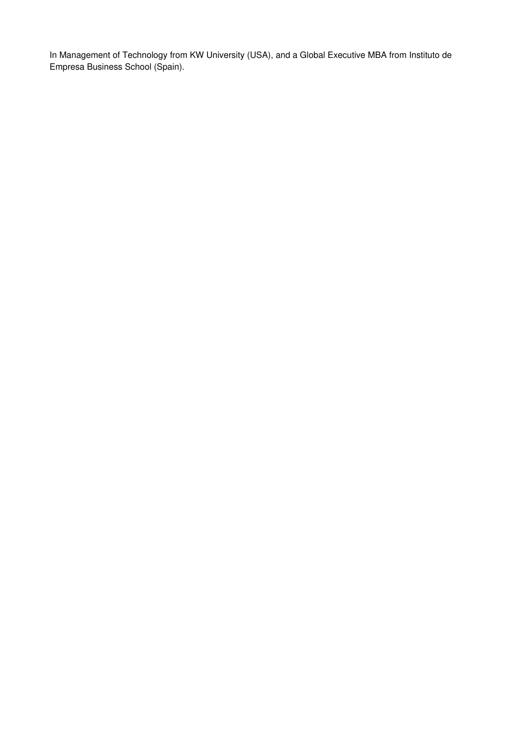In Management of Technology from KW University (USA), and a Global Executive MBA from Instituto de Empresa Business School (Spain).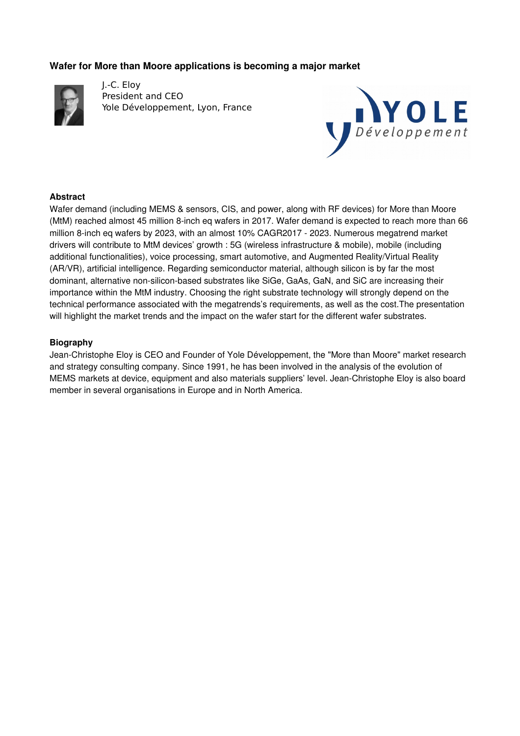# **Wafer for More than Moore applications is becoming a major market**



J.-C. Eloy President and CEO Yole Développement, Lyon, France



### **Abstract**

Wafer demand (including MEMS & sensors, CIS, and power, along with RF devices) for More than Moore (MtM) reached almost 45 million 8-inch eq wafers in 2017. Wafer demand is expected to reach more than 66 million 8-inch eq wafers by 2023, with an almost 10% CAGR2017 - 2023. Numerous megatrend market drivers will contribute to MtM devices' growth : 5G (wireless infrastructure & mobile), mobile (including additional functionalities), voice processing, smart automotive, and Augmented Reality/Virtual Reality (AR/VR), artificial intelligence. Regarding semiconductor material, although silicon is by far the most dominant, alternative non-silicon-based substrates like SiGe, GaAs, GaN, and SiC are increasing their importance within the MtM industry. Choosing the right substrate technology will strongly depend on the technical performance associated with the megatrends's requirements, as well as the cost.The presentation will highlight the market trends and the impact on the wafer start for the different wafer substrates.

### **Biography**

Jean-Christophe Eloy is CEO and Founder of Yole Développement, the "More than Moore" market research and strategy consulting company. Since 1991, he has been involved in the analysis of the evolution of MEMS markets at device, equipment and also materials suppliers' level. Jean-Christophe Eloy is also board member in several organisations in Europe and in North America.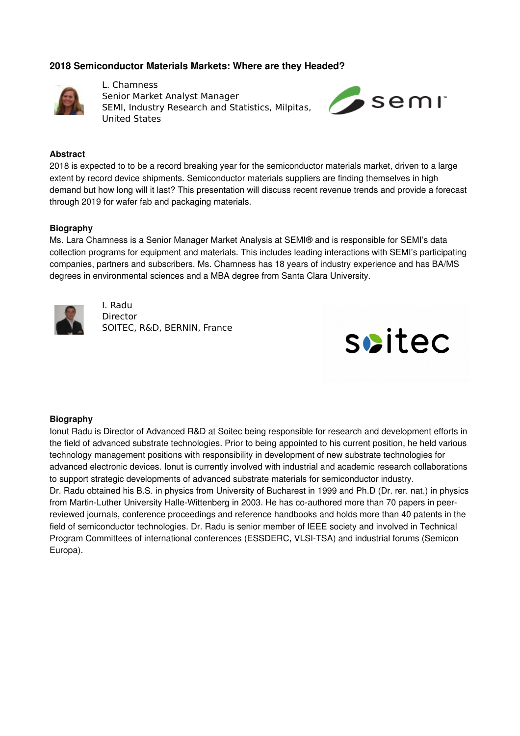## **2018 Semiconductor Materials Markets: Where are they Headed?**



L. Chamness Senior Market Analyst Manager SEMI, Industry Research and Statistics, Milpitas, United States



#### **Abstract**

2018 is expected to to be a record breaking year for the semiconductor materials market, driven to a large extent by record device shipments. Semiconductor materials suppliers are finding themselves in high demand but how long will it last? This presentation will discuss recent revenue trends and provide a forecast through 2019 for wafer fab and packaging materials.

#### **Biography**

Ms. Lara Chamness is a Senior Manager Market Analysis at SEMI® and is responsible for SEMI's data collection programs for equipment and materials. This includes leading interactions with SEMI's participating companies, partners and subscribers. Ms. Chamness has 18 years of industry experience and has BA/MS degrees in environmental sciences and a MBA degree from Santa Clara University.



I. Radu **Director** SOITEC, R&D, BERNIN, France



#### **Biography**

Ionut Radu is Director of Advanced R&D at Soitec being responsible for research and development efforts in the field of advanced substrate technologies. Prior to being appointed to his current position, he held various technology management positions with responsibility in development of new substrate technologies for advanced electronic devices. Ionut is currently involved with industrial and academic research collaborations to support strategic developments of advanced substrate materials for semiconductor industry. Dr. Radu obtained his B.S. in physics from University of Bucharest in 1999 and Ph.D (Dr. rer. nat.) in physics from Martin-Luther University Halle-Wittenberg in 2003. He has co-authored more than 70 papers in peerreviewed journals, conference proceedings and reference handbooks and holds more than 40 patents in the field of semiconductor technologies. Dr. Radu is senior member of IEEE society and involved in Technical Program Committees of international conferences (ESSDERC, VLSITSA) and industrial forums (Semicon Europa).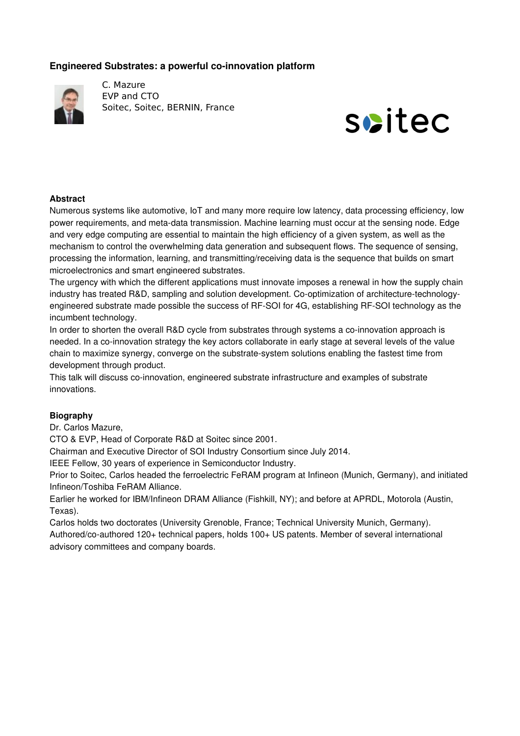# **Engineered Substrates: a powerful co-innovation platform**



C. Mazure EVP and CTO Soitec, Soitec, BERNIN, France



### **Abstract**

Numerous systems like automotive, IoT and many more require low latency, data processing efficiency, low power requirements, and meta-data transmission. Machine learning must occur at the sensing node. Edge and very edge computing are essential to maintain the high efficiency of a given system, as well as the mechanism to control the overwhelming data generation and subsequent flows. The sequence of sensing, processing the information, learning, and transmitting/receiving data is the sequence that builds on smart microelectronics and smart engineered substrates.

The urgency with which the different applications must innovate imposes a renewal in how the supply chain industry has treated R&D, sampling and solution development. Co-optimization of architecture-technologyengineered substrate made possible the success of RF-SOI for 4G, establishing RF-SOI technology as the incumbent technology.

In order to shorten the overall R&D cycle from substrates through systems a co-innovation approach is needed. In a co-innovation strategy the key actors collaborate in early stage at several levels of the value chain to maximize synergy, converge on the substrate-system solutions enabling the fastest time from development through product.

This talk will discuss co-innovation, engineered substrate infrastructure and examples of substrate innovations.

### **Biography**

Dr. Carlos Mazure,

CTO & EVP, Head of Corporate R&D at Soitec since 2001.

Chairman and Executive Director of SOI Industry Consortium since July 2014.

IEEE Fellow, 30 years of experience in Semiconductor Industry.

Prior to Soitec, Carlos headed the ferroelectric FeRAM program at Infineon (Munich, Germany), and initiated Infineon/Toshiba FeRAM Alliance.

Earlier he worked for IBM/Infineon DRAM Alliance (Fishkill, NY); and before at APRDL, Motorola (Austin, Texas).

Carlos holds two doctorates (University Grenoble, France; Technical University Munich, Germany).

Authored/co-authored 120+ technical papers, holds 100+ US patents. Member of several international advisory committees and company boards.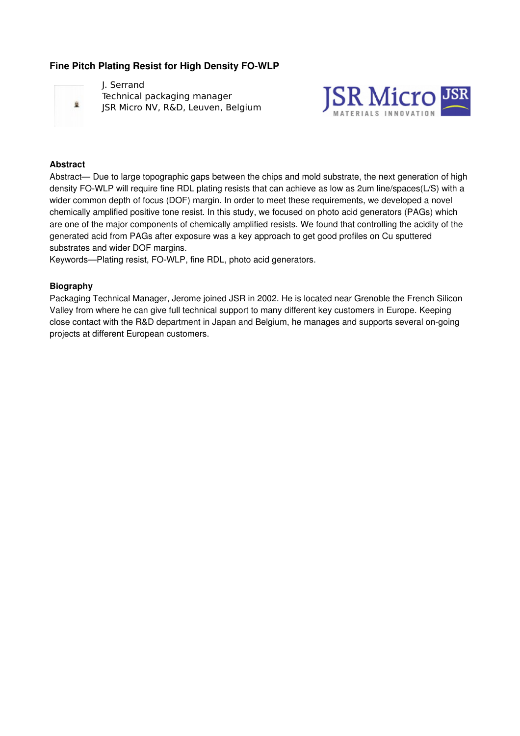# **Fine Pitch Plating Resist for High Density FO-WLP**



J. Serrand Technical packaging manager JSR Micro NV, R&D, Leuven, Belgium



#### **Abstract**

Abstract— Due to large topographic gaps between the chips and mold substrate, the next generation of high density FO-WLP will require fine RDL plating resists that can achieve as low as 2um line/spaces(L/S) with a wider common depth of focus (DOF) margin. In order to meet these requirements, we developed a novel chemically amplified positive tone resist. In this study, we focused on photo acid generators (PAGs) which are one of the major components of chemically amplified resists. We found that controlling the acidity of the generated acid from PAGs after exposure was a key approach to get good profiles on Cu sputtered substrates and wider DOF margins.

Keywords—Plating resist, FO-WLP, fine RDL, photo acid generators.

#### **Biography**

Packaging Technical Manager, Jerome joined JSR in 2002. He is located near Grenoble the French Silicon Valley from where he can give full technical support to many different key customers in Europe. Keeping close contact with the R&D department in Japan and Belgium, he manages and supports several on-going projects at different European customers.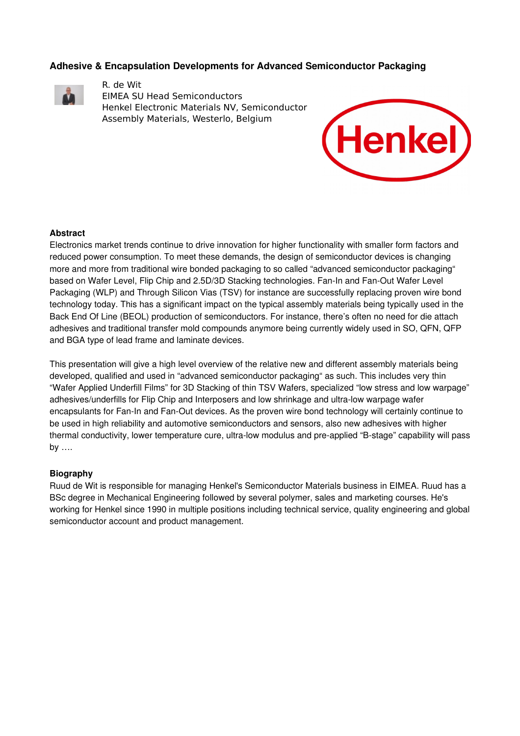### **Adhesive & Encapsulation Developments for Advanced Semiconductor Packaging**



R. de Wit EIMEA SU Head Semiconductors Henkel Electronic Materials NV, Semiconductor Assembly Materials, Westerlo, Belgium



### **Abstract**

Electronics market trends continue to drive innovation for higher functionality with smaller form factors and reduced power consumption. To meet these demands, the design of semiconductor devices is changing more and more from traditional wire bonded packaging to so called "advanced semiconductor packaging" based on Wafer Level, Flip Chip and 2.5D/3D Stacking technologies. Fan-In and Fan-Out Wafer Level Packaging (WLP) and Through Silicon Vias (TSV) for instance are successfully replacing proven wire bond technology today. This has a significant impact on the typical assembly materials being typically used in the Back End Of Line (BEOL) production of semiconductors. For instance, there's often no need for die attach adhesives and traditional transfer mold compounds anymore being currently widely used in SO, QFN, QFP and BGA type of lead frame and laminate devices.

This presentation will give a high level overview of the relative new and different assembly materials being developed, qualified and used in "advanced semiconductor packaging" as such. This includes very thin "Wafer Applied Underfill Films" for 3D Stacking of thin TSV Wafers, specialized "low stress and low warpage" adhesives/underfills for Flip Chip and Interposers and low shrinkage and ultra-low warpage wafer encapsulants for Fan-In and Fan-Out devices. As the proven wire bond technology will certainly continue to be used in high reliability and automotive semiconductors and sensors, also new adhesives with higher thermal conductivity, lower temperature cure, ultra-low modulus and pre-applied "B-stage" capability will pass by ….

### **Biography**

Ruud de Wit is responsible for managing Henkel's Semiconductor Materials business in EIMEA. Ruud has a BSc degree in Mechanical Engineering followed by several polymer, sales and marketing courses. He's working for Henkel since 1990 in multiple positions including technical service, quality engineering and global semiconductor account and product management.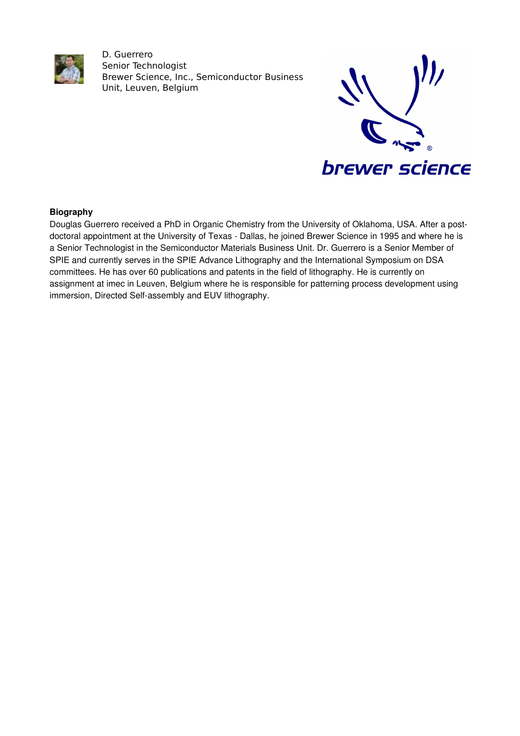

D. Guerrero Senior Technologist Brewer Science, Inc., Semiconductor Business Unit, Leuven, Belgium



## **Biography**

Douglas Guerrero received a PhD in Organic Chemistry from the University of Oklahoma, USA. After a postdoctoral appointment at the University of Texas - Dallas, he joined Brewer Science in 1995 and where he is a Senior Technologist in the Semiconductor Materials Business Unit. Dr. Guerrero is a Senior Member of SPIE and currently serves in the SPIE Advance Lithography and the International Symposium on DSA committees. He has over 60 publications and patents in the field of lithography. He is currently on assignment at imec in Leuven, Belgium where he is responsible for patterning process development using immersion, Directed Self-assembly and EUV lithography.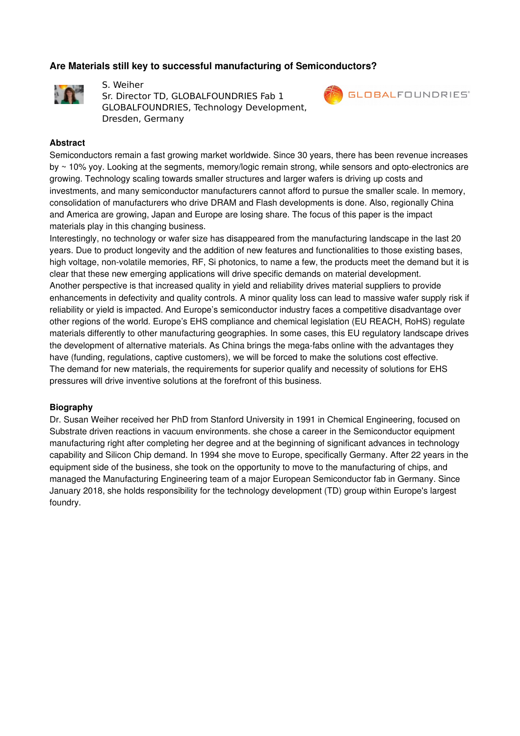# **Are Materials still key to successful manufacturing of Semiconductors?**



S. Weiher Sr. Director TD, GLOBALFOUNDRIES Fab 1 GLOBALFOUNDRIES, Technology Development, Dresden, Germany



#### **Abstract**

Semiconductors remain a fast growing market worldwide. Since 30 years, there has been revenue increases by  $\sim$  10% yoy. Looking at the segments, memory/logic remain strong, while sensors and opto-electronics are growing. Technology scaling towards smaller structures and larger wafers is driving up costs and investments, and many semiconductor manufacturers cannot afford to pursue the smaller scale. In memory, consolidation of manufacturers who drive DRAM and Flash developments is done. Also, regionally China and America are growing, Japan and Europe are losing share. The focus of this paper is the impact materials play in this changing business.

Interestingly, no technology or wafer size has disappeared from the manufacturing landscape in the last 20 years. Due to product longevity and the addition of new features and functionalities to those existing bases, high voltage, nonvolatile memories, RF, Si photonics, to name a few, the products meet the demand but it is clear that these new emerging applications will drive specific demands on material development. Another perspective is that increased quality in yield and reliability drives material suppliers to provide enhancements in defectivity and quality controls. A minor quality loss can lead to massive wafer supply risk if reliability or yield is impacted. And Europe's semiconductor industry faces a competitive disadvantage over other regions of the world. Europe's EHS compliance and chemical legislation (EU REACH, RoHS) regulate materials differently to other manufacturing geographies. In some cases, this EU regulatory landscape drives the development of alternative materials. As China brings the mega-fabs online with the advantages they have (funding, regulations, captive customers), we will be forced to make the solutions cost effective. The demand for new materials, the requirements for superior qualify and necessity of solutions for EHS pressures will drive inventive solutions at the forefront of this business.

#### **Biography**

Dr. Susan Weiher received her PhD from Stanford University in 1991 in Chemical Engineering, focused on Substrate driven reactions in vacuum environments. she chose a career in the Semiconductor equipment manufacturing right after completing her degree and at the beginning of significant advances in technology capability and Silicon Chip demand. In 1994 she move to Europe, specifically Germany. After 22 years in the equipment side of the business, she took on the opportunity to move to the manufacturing of chips, and managed the Manufacturing Engineering team of a major European Semiconductor fab in Germany. Since January 2018, she holds responsibility for the technology development (TD) group within Europe's largest foundry.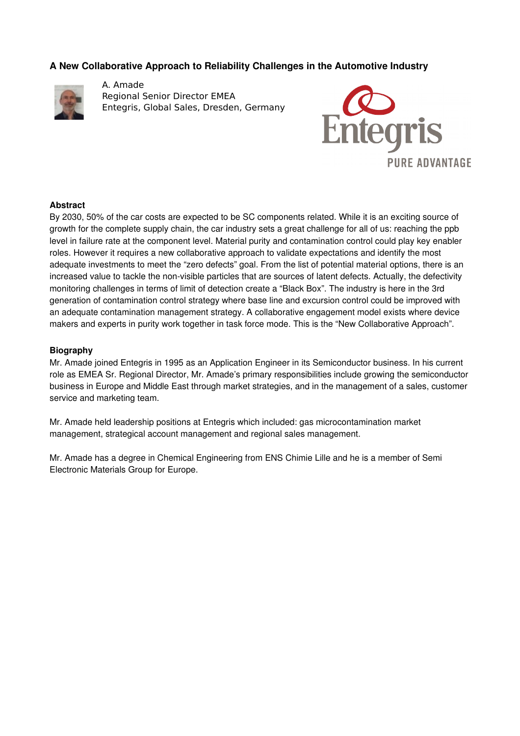# **A New Collaborative Approach to Reliability Challenges in the Automotive Industry**



A. Amade Regional Senior Director EMEA Entegris, Global Sales, Dresden, Germany



### **Abstract**

By 2030, 50% of the car costs are expected to be SC components related. While it is an exciting source of growth for the complete supply chain, the car industry sets a great challenge for all of us: reaching the ppb level in failure rate at the component level. Material purity and contamination control could play key enabler roles. However it requires a new collaborative approach to validate expectations and identify the most adequate investments to meet the "zero defects" goal. From the list of potential material options, there is an increased value to tackle the non-visible particles that are sources of latent defects. Actually, the defectivity monitoring challenges in terms of limit of detection create a "Black Box". The industry is here in the 3rd generation of contamination control strategy where base line and excursion control could be improved with an adequate contamination management strategy. A collaborative engagement model exists where device makers and experts in purity work together in task force mode. This is the "New Collaborative Approach".

#### **Biography**

Mr. Amade joined Entegris in 1995 as an Application Engineer in its Semiconductor business. In his current role as EMEA Sr. Regional Director, Mr. Amade's primary responsibilities include growing the semiconductor business in Europe and Middle East through market strategies, and in the management of a sales, customer service and marketing team.

Mr. Amade held leadership positions at Entegris which included: gas microcontamination market management, strategical account management and regional sales management.

Mr. Amade has a degree in Chemical Engineering from ENS Chimie Lille and he is a member of Semi Electronic Materials Group for Europe.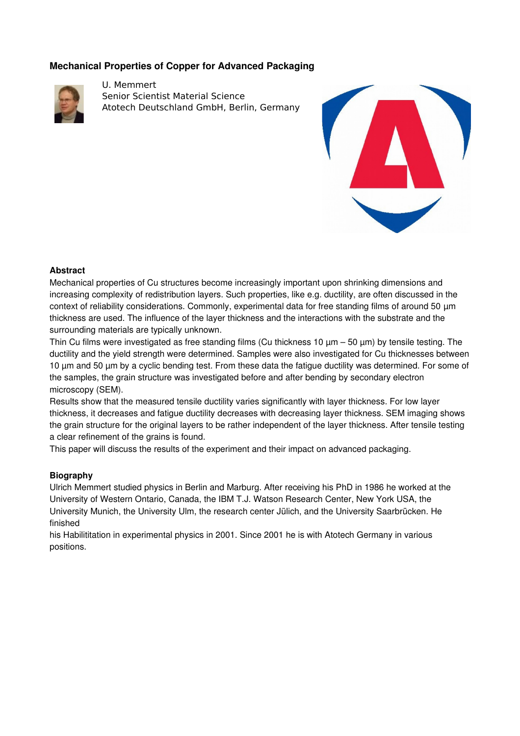# **Mechanical Properties of Copper for Advanced Packaging**



U. Memmert Senior Scientist Material Science Atotech Deutschland GmbH, Berlin, Germany



### **Abstract**

Mechanical properties of Cu structures become increasingly important upon shrinking dimensions and increasing complexity of redistribution layers. Such properties, like e.g. ductility, are often discussed in the context of reliability considerations. Commonly, experimental data for free standing films of around 50 µm thickness are used. The influence of the layer thickness and the interactions with the substrate and the surrounding materials are typically unknown.

Thin Cu films were investigated as free standing films (Cu thickness 10  $\mu$ m – 50  $\mu$ m) by tensile testing. The ductility and the yield strength were determined. Samples were also investigated for Cu thicknesses between 10 µm and 50 µm by a cyclic bending test. From these data the fatigue ductility was determined. For some of the samples, the grain structure was investigated before and after bending by secondary electron microscopy (SEM).

Results show that the measured tensile ductility varies significantly with layer thickness. For low layer thickness, it decreases and fatigue ductility decreases with decreasing layer thickness. SEM imaging shows the grain structure for the original layers to be rather independent of the layer thickness. After tensile testing a clear refinement of the grains is found.

This paper will discuss the results of the experiment and their impact on advanced packaging.

### **Biography**

Ulrich Memmert studied physics in Berlin and Marburg. After receiving his PhD in 1986 he worked at the University of Western Ontario, Canada, the IBM T.J. Watson Research Center, New York USA, the University Munich, the University Ulm, the research center Jülich, and the University Saarbrücken. He finished

his Habilititation in experimental physics in 2001. Since 2001 he is with Atotech Germany in various positions.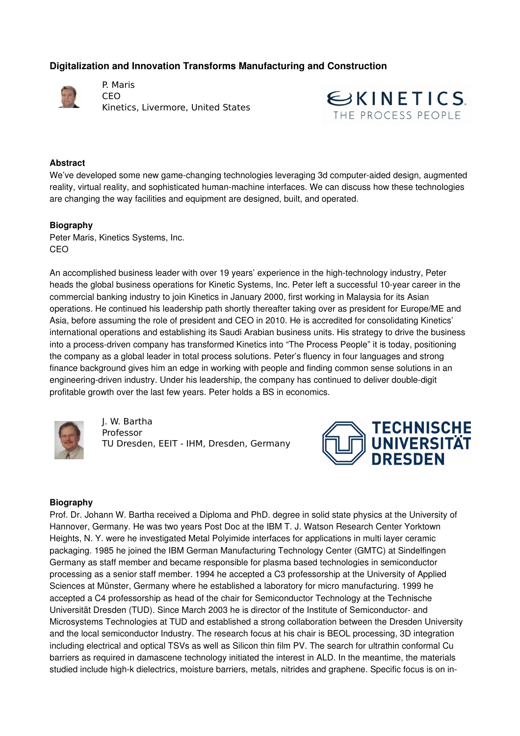# **Digitalization and Innovation Transforms Manufacturing and Construction**



P. Maris CEO Kinetics, Livermore, United States



#### **Abstract**

We've developed some new game-changing technologies leveraging 3d computer-aided design, augmented reality, virtual reality, and sophisticated human-machine interfaces. We can discuss how these technologies are changing the way facilities and equipment are designed, built, and operated.

#### **Biography**

Peter Maris, Kinetics Systems, Inc. CEO

An accomplished business leader with over 19 years' experience in the high-technology industry, Peter heads the global business operations for Kinetic Systems, Inc. Peter left a successful 10-year career in the commercial banking industry to join Kinetics in January 2000, first working in Malaysia for its Asian operations. He continued his leadership path shortly thereafter taking over as president for Europe/ME and Asia, before assuming the role of president and CEO in 2010. He is accredited for consolidating Kinetics' international operations and establishing its Saudi Arabian business units. His strategy to drive the business into a process-driven company has transformed Kinetics into "The Process People" it is today, positioning the company as a global leader in total process solutions. Peter's fluency in four languages and strong finance background gives him an edge in working with people and finding common sense solutions in an engineering-driven industry. Under his leadership, the company has continued to deliver double-digit profitable growth over the last few years. Peter holds a BS in economics.



J. W. Bartha Professor TU Dresden, EEIT - IHM, Dresden, Germany



#### **Biography**

Prof. Dr. Johann W. Bartha received a Diploma and PhD. degree in solid state physics at the University of Hannover, Germany. He was two years Post Doc at the IBM T. J. Watson Research Center Yorktown Heights, N. Y. were he investigated Metal Polyimide interfaces for applications in multi layer ceramic packaging. 1985 he joined the IBM German Manufacturing Technology Center (GMTC) at Sindelfingen Germany as staff member and became responsible for plasma based technologies in semiconductor processing as a senior staff member. 1994 he accepted a C3 professorship at the University of Applied Sciences at Münster, Germany where he established a laboratory for micro manufacturing. 1999 he accepted a C4 professorship as head of the chair for Semiconductor Technology at the Technische Universität Dresden (TUD). Since March 2003 he is director of the Institute of Semiconductor and Microsystems Technologies at TUD and established a strong collaboration between the Dresden University and the local semiconductor Industry. The research focus at his chair is BEOL processing, 3D integration including electrical and optical TSVs as well as Silicon thin film PV. The search for ultrathin conformal Cu barriers as required in damascene technology initiated the interest in ALD. In the meantime, the materials studied include high-k dielectrics, moisture barriers, metals, nitrides and graphene. Specific focus is on in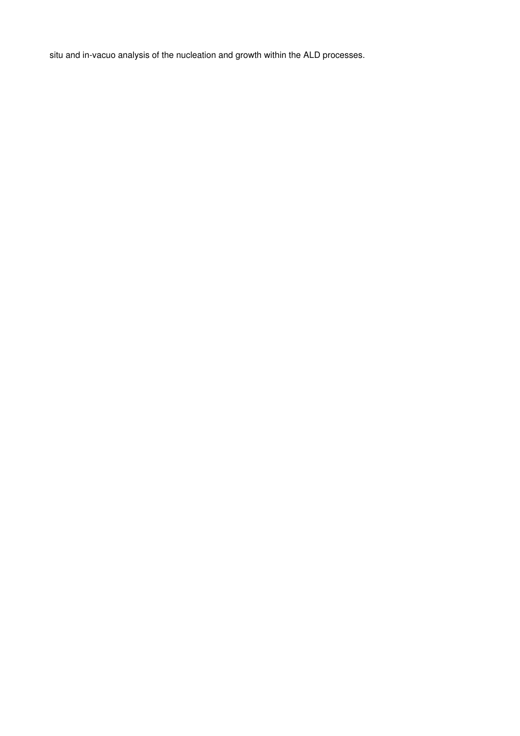situ and in-vacuo analysis of the nucleation and growth within the ALD processes.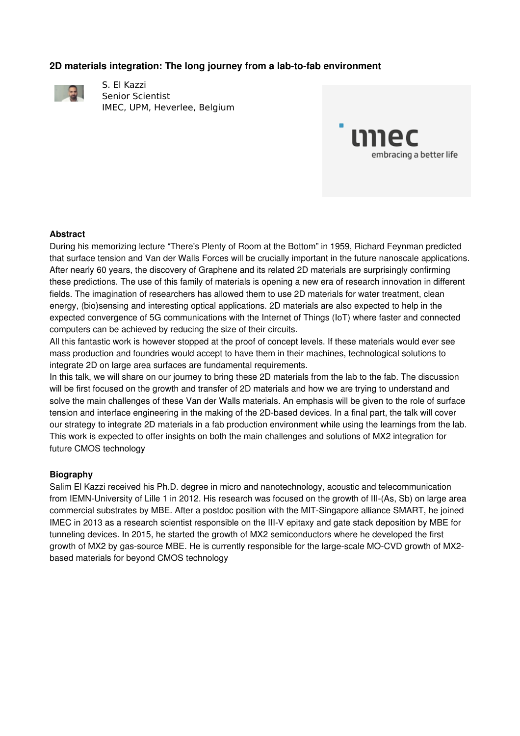# **2D materials integration: The long journey from a lab-to-fab environment**



S. El Kazzi Senior Scientist IMEC, UPM, Heverlee, Belgium



### **Abstract**

During his memorizing lecture "There's Plenty of Room at the Bottom" in 1959, Richard Feynman predicted that surface tension and Van der Walls Forces will be crucially important in the future nanoscale applications. After nearly 60 years, the discovery of Graphene and its related 2D materials are surprisingly confirming these predictions. The use of this family of materials is opening a new era of research innovation in different fields. The imagination of researchers has allowed them to use 2D materials for water treatment, clean energy, (bio)sensing and interesting optical applications. 2D materials are also expected to help in the expected convergence of 5G communications with the Internet of Things (IoT) where faster and connected computers can be achieved by reducing the size of their circuits.

All this fantastic work is however stopped at the proof of concept levels. If these materials would ever see mass production and foundries would accept to have them in their machines, technological solutions to integrate 2D on large area surfaces are fundamental requirements.

In this talk, we will share on our journey to bring these 2D materials from the lab to the fab. The discussion will be first focused on the growth and transfer of 2D materials and how we are trying to understand and solve the main challenges of these Van der Walls materials. An emphasis will be given to the role of surface tension and interface engineering in the making of the 2D-based devices. In a final part, the talk will cover our strategy to integrate 2D materials in a fab production environment while using the learnings from the lab. This work is expected to offer insights on both the main challenges and solutions of MX2 integration for future CMOS technology

### **Biography**

Salim El Kazzi received his Ph.D. degree in micro and nanotechnology, acoustic and telecommunication from IEMN-University of Lille 1 in 2012. His research was focused on the growth of III-(As, Sb) on large area commercial substrates by MBE. After a postdoc position with the MIT-Singapore alliance SMART, he joined IMEC in 2013 as a research scientist responsible on the IIIV epitaxy and gate stack deposition by MBE for tunneling devices. In 2015, he started the growth of MX2 semiconductors where he developed the first growth of MX2 by gas-source MBE. He is currently responsible for the large-scale MO-CVD growth of MX2based materials for beyond CMOS technology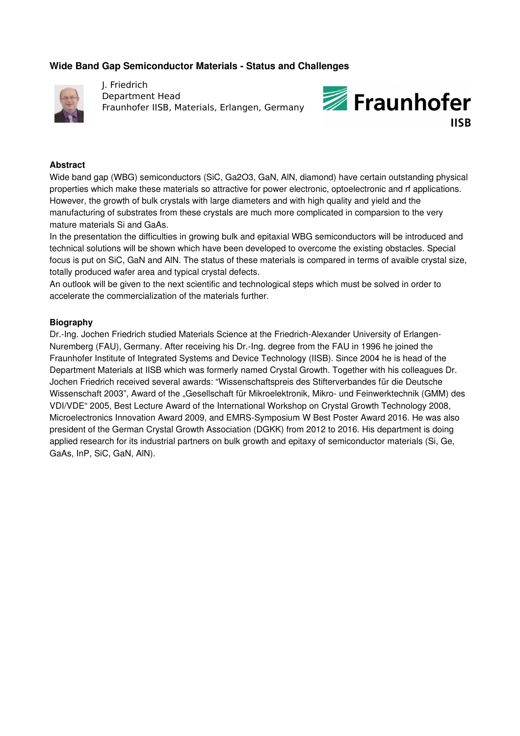## **Wide Band Gap Semiconductor Materials - Status and Challenges**



J. Friedrich Department Head Fraunhofer IISB, Materials, Erlangen, Germany



### **Abstract**

Wide band gap (WBG) semiconductors (SiC, Ga2O3, GaN, AlN, diamond) have certain outstanding physical properties which make these materials so attractive for power electronic, optoelectronic and rf applications. However, the growth of bulk crystals with large diameters and with high quality and yield and the manufacturing of substrates from these crystals are much more complicated in comparsion to the very mature materials Si and GaAs.

In the presentation the difficulties in growing bulk and epitaxial WBG semiconductors will be introduced and technical solutions will be shown which have been developed to overcome the existing obstacles. Special focus is put on SiC, GaN and AlN. The status of these materials is compared in terms of avaible crystal size, totally produced wafer area and typical crystal defects.

An outlook will be given to the next scientific and technological steps which must be solved in order to accelerate the commercialization of the materials further.

#### **Biography**

Dr.-Ing. Jochen Friedrich studied Materials Science at the Friedrich-Alexander University of Erlangen-Nuremberg (FAU), Germany. After receiving his Dr.-Ing. degree from the FAU in 1996 he joined the Fraunhofer Institute of Integrated Systems and Device Technology (IISB). Since 2004 he is head of the Department Materials at IISB which was formerly named Crystal Growth. Together with his colleagues Dr. Jochen Friedrich received several awards: "Wissenschaftspreis des Stifterverbandes für die Deutsche Wissenschaft 2003", Award of the "Gesellschaft für Mikroelektronik, Mikro- und Feinwerktechnik (GMM) des VDI/VDE" 2005, Best Lecture Award of the International Workshop on Crystal Growth Technology 2008, Microelectronics Innovation Award 2009, and EMRS-Symposium W Best Poster Award 2016. He was also president of the German Crystal Growth Association (DGKK) from 2012 to 2016. His department is doing applied research for its industrial partners on bulk growth and epitaxy of semiconductor materials (Si, Ge, GaAs, InP, SiC, GaN, AlN).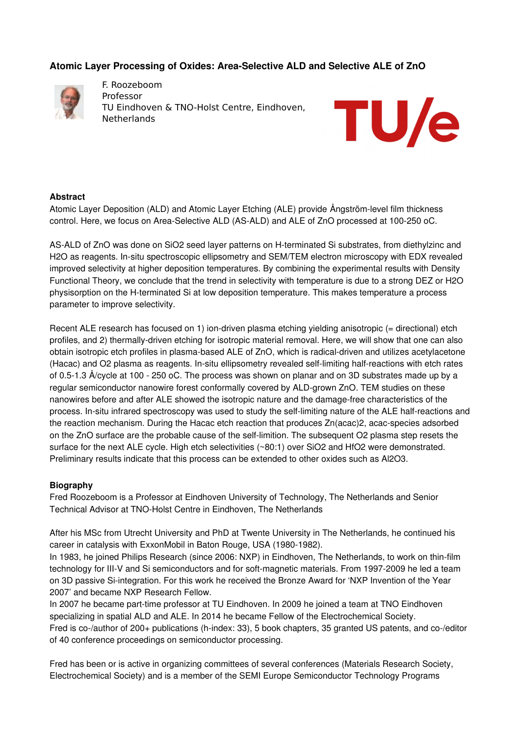# **Atomic Layer Processing of Oxides: AreaSelective ALD and Selective ALE of ZnO**



F. Roozeboom Professor TU Eindhoven & TNO-Holst Centre, Eindhoven, Netherlands



### **Abstract**

Atomic Layer Deposition (ALD) and Atomic Layer Etching (ALE) provide Ångström-level film thickness control. Here, we focus on Area-Selective ALD (AS-ALD) and ALE of ZnO processed at 100-250 oC.

AS-ALD of ZnO was done on SiO2 seed layer patterns on H-terminated Si substrates, from diethylzinc and H2O as reagents. In-situ spectroscopic ellipsometry and SEM/TEM electron microscopy with EDX revealed improved selectivity at higher deposition temperatures. By combining the experimental results with Density Functional Theory, we conclude that the trend in selectivity with temperature is due to a strong DEZ or H2O physisorption on the H-terminated Si at low deposition temperature. This makes temperature a process parameter to improve selectivity.

Recent ALE research has focused on 1) ion-driven plasma etching yielding anisotropic ( $=$  directional) etch profiles, and 2) thermally-driven etching for isotropic material removal. Here, we will show that one can also obtain isotropic etch profiles in plasma-based ALE of ZnO, which is radical-driven and utilizes acetylacetone (Hacac) and O2 plasma as reagents. In-situ ellipsometry revealed self-limiting half-reactions with etch rates of 0.51.3 Å/cycle at 100 250 oC. The process was shown on planar and on 3D substrates made up by a regular semiconductor nanowire forest conformally covered by ALD-grown ZnO. TEM studies on these nanowires before and after ALE showed the isotropic nature and the damage-free characteristics of the process. In-situ infrared spectroscopy was used to study the self-limiting nature of the ALE half-reactions and the reaction mechanism. During the Hacac etch reaction that produces  $Zn(acac)2$ , acac-species adsorbed on the ZnO surface are the probable cause of the self-limition. The subsequent O2 plasma step resets the surface for the next ALE cycle. High etch selectivities (~80:1) over SiO2 and HfO2 were demonstrated. Preliminary results indicate that this process can be extended to other oxides such as Al2O3.

## **Biography**

Fred Roozeboom is a Professor at Eindhoven University of Technology, The Netherlands and Senior Technical Advisor at TNO-Holst Centre in Eindhoven, The Netherlands

After his MSc from Utrecht University and PhD at Twente University in The Netherlands, he continued his career in catalysis with ExxonMobil in Baton Rouge, USA (1980-1982).

In 1983, he joined Philips Research (since 2006: NXP) in Eindhoven, The Netherlands, to work on thin-film technology for III-V and Si semiconductors and for soft-magnetic materials. From 1997-2009 he led a team on 3D passive Si-integration. For this work he received the Bronze Award for 'NXP Invention of the Year 2007' and became NXP Research Fellow.

In 2007 he became part-time professor at TU Eindhoven. In 2009 he joined a team at TNO Eindhoven specializing in spatial ALD and ALE. In 2014 he became Fellow of the Electrochemical Society. Fred is co-/author of 200+ publications (h-index: 33), 5 book chapters, 35 granted US patents, and co-/editor of 40 conference proceedings on semiconductor processing.

Fred has been or is active in organizing committees of several conferences (Materials Research Society, Electrochemical Society) and is a member of the SEMI Europe Semiconductor Technology Programs